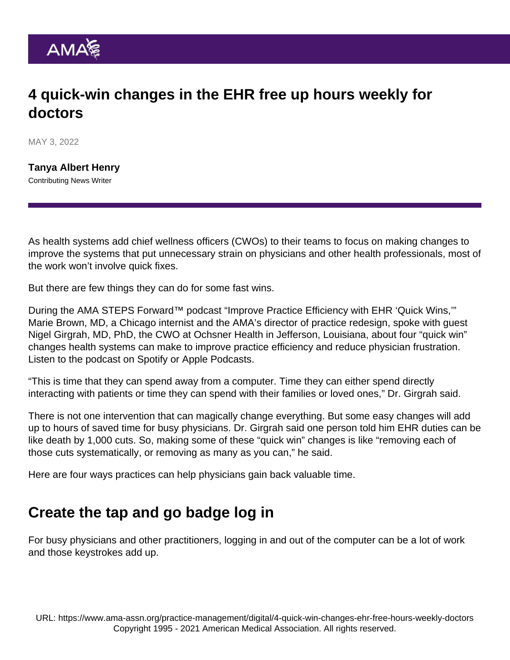# 4 quick-win changes in the EHR free up hours weekly for doctors

MAY 3, 2022

[Tanya Albert Henry](https://www.ama-assn.org/news-leadership-viewpoints/authors-news-leadership-viewpoints/tanya-albert-henry) Contributing News Writer

As health systems add [chief wellness officers](https://www.ama-assn.org/practice-management/physician-health/what-chief-wellness-officer) (CWOs) to their teams to focus on making changes to improve the systems that put unnecessary strain on physicians and other health professionals, most of the work won't involve quick fixes.

But there are few things they can do for some fast wins.

During the [AMA STEPS Forward™](https://edhub.ama-assn.org/steps-forward/) podcast "Improve Practice Efficiency with EHR 'Quick Wins,'" Marie Brown, MD, a Chicago internist and the AMA's director of practice redesign, spoke with guest [Nigel Girgrah, MD, PhD](https://www.ama-assn.org/practice-management/physician-health/looking-upstream-answers-burnout), the CWO at Ochsner Health in Jefferson, Louisiana, about four "quick win" changes health systems can make to improve practice efficiency and reduce physician frustration. Listen to the podcast on [Spotify](https://open.spotify.com/episode/1eXQssHxsXqF5oV9qR29Pr) or [Apple Podcasts](https://podcasts.apple.com/us/podcast/improve-practice-efficiency-with-ehr-quick-wins/id1568105695?i=1000551296312).

"This is time that they can spend away from a computer. Time they can either spend directly interacting with patients or time they can spend with their families or loved ones," Dr. Girgrah said.

There is not one intervention that can magically change everything. But some easy changes will add up to hours of saved time for busy physicians. Dr. Girgrah said one person told him EHR duties can be like death by 1,000 cuts. So, making some of these "quick win" changes is like "removing each of those cuts systematically, or removing as many as you can," he said.

Here are four ways practices can help physicians gain back valuable time.

## Create the tap and go badge log in

For busy physicians and other practitioners, logging in and out of the computer can be a lot of work and those keystrokes add up.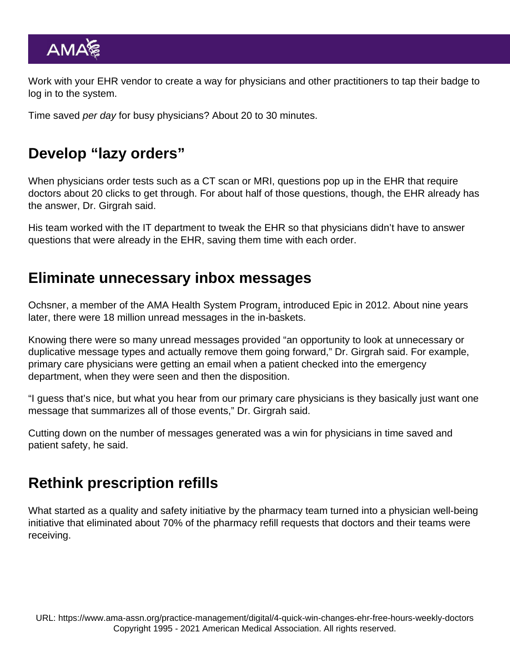Work with your EHR vendor to create a way for physicians and other practitioners to tap their badge to log in to the system.

Time saved per day for busy physicians? About 20 to 30 minutes.

### Develop "lazy orders"

When physicians order tests such as a CT scan or MRI, questions pop up in the EHR that require doctors about 20 clicks to get through. For about half of those questions, though, the EHR already has the answer, Dr. Girgrah said.

His team worked with the IT department to tweak the EHR so that physicians didn't have to answer questions that were already in the EHR, saving them time with each order.

#### Eliminate unnecessary inbox messages

Ochsner, a member of the [AMA Health System Program](https://www.ama-assn.org/amaone/ama-health-system-program), introduced Epic in 2012. About nine years later, there were 18 million unread messages in the in-baskets.

Knowing there were so many unread messages provided "an opportunity to look at unnecessary or duplicative message types and actually remove them going forward," Dr. Girgrah said. For example, primary care physicians were getting an email when a patient checked into the emergency department, when they were seen and then the disposition.

"I guess that's nice, but what you hear from our primary care physicians is they basically just want one message that summarizes all of those events," Dr. Girgrah said.

Cutting down on the number of messages generated was a win for physicians in time saved and patient safety, he said.

## Rethink prescription refills

What started as a quality and safety initiative by the pharmacy team turned into a physician well-being initiative that eliminated about 70% of the pharmacy refill requests that doctors and their teams were receiving.